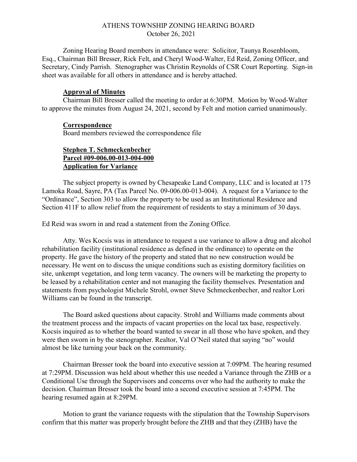## ATHENS TOWNSHIP ZONING HEARING BOARD October 26, 2021

Zoning Hearing Board members in attendance were: Solicitor, Taunya Rosenbloom, Esq., Chairman Bill Bresser, Rick Felt, and Cheryl Wood-Walter, Ed Reid, Zoning Officer, and Secretary, Cindy Parrish. Stenographer was Christin Reynolds of CSR Court Reporting. Sign-in sheet was available for all others in attendance and is hereby attached.

## Approval of Minutes

Chairman Bill Bresser called the meeting to order at 6:30PM. Motion by Wood-Walter to approve the minutes from August 24, 2021, second by Felt and motion carried unanimously.

## **Correspondence**

Board members reviewed the correspondence file

## Stephen T. Schmeckenbecher Parcel #09-006.00-013-004-000 Application for Variance

The subject property is owned by Chesapeake Land Company, LLC and is located at 175 Lamoka Road, Sayre, PA (Tax Parcel No. 09-006.00-013-004). A request for a Variance to the "Ordinance", Section 303 to allow the property to be used as an Institutional Residence and Section 411F to allow relief from the requirement of residents to stay a minimum of 30 days.

Ed Reid was sworn in and read a statement from the Zoning Office.

Atty. Wes Kocsis was in attendance to request a use variance to allow a drug and alcohol rehabilitation facility (institutional residence as defined in the ordinance) to operate on the property. He gave the history of the property and stated that no new construction would be necessary. He went on to discuss the unique conditions such as existing dormitory facilities on site, unkempt vegetation, and long term vacancy. The owners will be marketing the property to be leased by a rehabilitation center and not managing the facility themselves. Presentation and statements from psychologist Michele Strohl, owner Steve Schmeckenbecher, and realtor Lori Williams can be found in the transcript.

The Board asked questions about capacity. Strohl and Williams made comments about the treatment process and the impacts of vacant properties on the local tax base, respectively. Kocsis inquired as to whether the board wanted to swear in all those who have spoken, and they were then sworn in by the stenographer. Realtor, Val O'Neil stated that saying "no" would almost be like turning your back on the community.

Chairman Bresser took the board into executive session at 7:09PM. The hearing resumed at 7:29PM. Discussion was held about whether this use needed a Variance through the ZHB or a Conditional Use through the Supervisors and concerns over who had the authority to make the decision. Chairman Bresser took the board into a second executive session at 7:45PM. The hearing resumed again at 8:29PM.

Motion to grant the variance requests with the stipulation that the Township Supervisors confirm that this matter was properly brought before the ZHB and that they (ZHB) have the